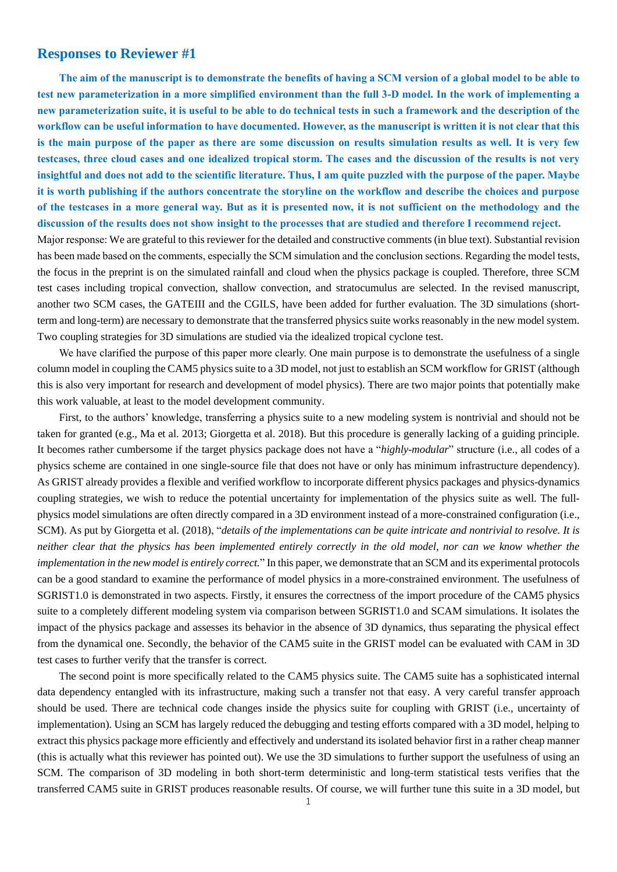# **Responses to Reviewer #1**

**The aim of the manuscript is to demonstrate the benefits of having a SCM version of a global model to be able to test new parameterization in a more simplified environment than the full 3-D model. In the work of implementing a new parameterization suite, it is useful to be able to do technical tests in such a framework and the description of the workflow can be useful information to have documented. However, as the manuscript is written it is not clear that this is the main purpose of the paper as there are some discussion on results simulation results as well. It is very few testcases, three cloud cases and one idealized tropical storm. The cases and the discussion of the results is not very insightful and does not add to the scientific literature. Thus, I am quite puzzled with the purpose of the paper. Maybe it is worth publishing if the authors concentrate the storyline on the workflow and describe the choices and purpose of the testcases in a more general way. But as it is presented now, it is not sufficient on the methodology and the discussion of the results does not show insight to the processes that are studied and therefore I recommend reject.**

Major response: We are grateful to this reviewer for the detailed and constructive comments (in blue text). Substantial revision has been made based on the comments, especially the SCM simulation and the conclusion sections. Regarding the model tests, the focus in the preprint is on the simulated rainfall and cloud when the physics package is coupled. Therefore, three SCM test cases including tropical convection, shallow convection, and stratocumulus are selected. In the revised manuscript, another two SCM cases, the GATEIII and the CGILS, have been added for further evaluation. The 3D simulations (shortterm and long-term) are necessary to demonstrate that the transferred physics suite works reasonably in the new model system. Two coupling strategies for 3D simulations are studied via the idealized tropical cyclone test.

We have clarified the purpose of this paper more clearly. One main purpose is to demonstrate the usefulness of a single column model in coupling the CAM5 physics suite to a 3D model, not just to establish an SCM workflow for GRIST (although this is also very important for research and development of model physics). There are two major points that potentially make this work valuable, at least to the model development community.

First, to the authors' knowledge, transferring a physics suite to a new modeling system is nontrivial and should not be taken for granted (e.g., Ma et al. 2013; Giorgetta et al. 2018). But this procedure is generally lacking of a guiding principle. It becomes rather cumbersome if the target physics package does not have a "*highly-modular*" structure (i.e., all codes of a physics scheme are contained in one single-source file that does not have or only has minimum infrastructure dependency). As GRIST already provides a flexible and verified workflow to incorporate different physics packages and physics-dynamics coupling strategies, we wish to reduce the potential uncertainty for implementation of the physics suite as well. The fullphysics model simulations are often directly compared in a 3D environment instead of a more-constrained configuration (i.e., SCM). As put by Giorgetta et al. (2018), "*details of the implementations can be quite intricate and nontrivial to resolve. It is neither clear that the physics has been implemented entirely correctly in the old model, nor can we know whether the implementation in the new model is entirely correct.*" In this paper, we demonstrate that an SCM and its experimental protocols can be a good standard to examine the performance of model physics in a more-constrained environment. The usefulness of SGRIST1.0 is demonstrated in two aspects. Firstly, it ensures the correctness of the import procedure of the CAM5 physics suite to a completely different modeling system via comparison between SGRIST1.0 and SCAM simulations. It isolates the impact of the physics package and assesses its behavior in the absence of 3D dynamics, thus separating the physical effect from the dynamical one. Secondly, the behavior of the CAM5 suite in the GRIST model can be evaluated with CAM in 3D test cases to further verify that the transfer is correct.

The second point is more specifically related to the CAM5 physics suite. The CAM5 suite has a sophisticated internal data dependency entangled with its infrastructure, making such a transfer not that easy. A very careful transfer approach should be used. There are technical code changes inside the physics suite for coupling with GRIST (i.e., uncertainty of implementation). Using an SCM has largely reduced the debugging and testing efforts compared with a 3D model, helping to extract this physics package more efficiently and effectively and understand its isolated behavior first in a rather cheap manner (this is actually what this reviewer has pointed out). We use the 3D simulations to further support the usefulness of using an SCM. The comparison of 3D modeling in both short-term deterministic and long-term statistical tests verifies that the transferred CAM5 suite in GRIST produces reasonable results. Of course, we will further tune this suite in a 3D model, but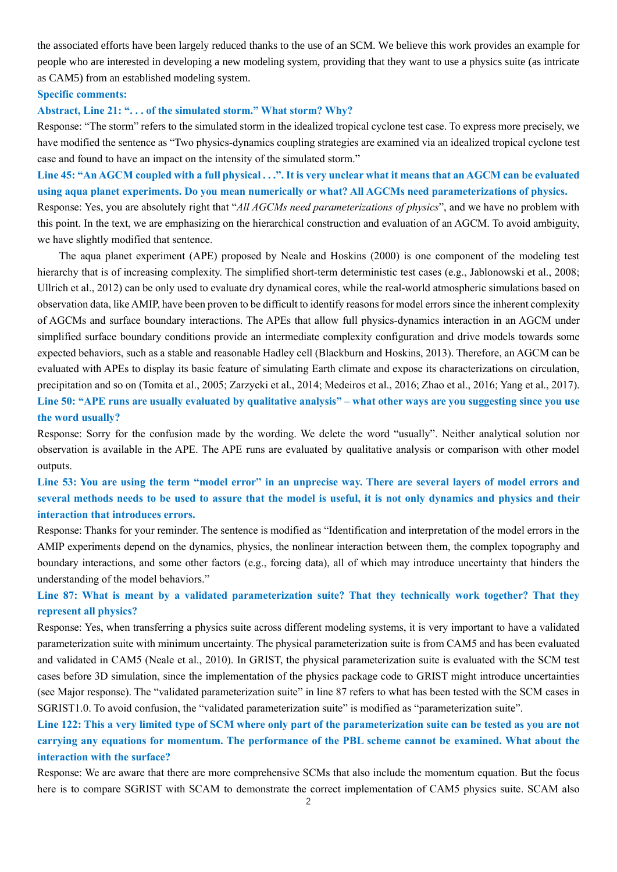the associated efforts have been largely reduced thanks to the use of an SCM. We believe this work provides an example for people who are interested in developing a new modeling system, providing that they want to use a physics suite (as intricate as CAM5) from an established modeling system.

## **Specific comments:**

### **Abstract, Line 21: ". . . of the simulated storm." What storm? Why?**

Response: "The storm" refers to the simulated storm in the idealized tropical cyclone test case. To express more precisely, we have modified the sentence as "Two physics-dynamics coupling strategies are examined via an idealized tropical cyclone test case and found to have an impact on the intensity of the simulated storm."

**Line 45: "An AGCM coupled with a full physical . . .". It is very unclear what it means that an AGCM can be evaluated using aqua planet experiments. Do you mean numerically or what? All AGCMs need parameterizations of physics.**

Response: Yes, you are absolutely right that "*All AGCMs need parameterizations of physics*", and we have no problem with this point. In the text, we are emphasizing on the hierarchical construction and evaluation of an AGCM. To avoid ambiguity, we have slightly modified that sentence.

The aqua planet experiment (APE) proposed by Neale and Hoskins (2000) is one component of the modeling test hierarchy that is of increasing complexity. The simplified short-term deterministic test cases (e.g., Jablonowski et al., 2008; Ullrich et al., 2012) can be only used to evaluate dry dynamical cores, while the real-world atmospheric simulations based on observation data, like AMIP, have been proven to be difficult to identify reasons for model errors since the inherent complexity of AGCMs and surface boundary interactions. The APEs that allow full physics-dynamics interaction in an AGCM under simplified surface boundary conditions provide an intermediate complexity configuration and drive models towards some expected behaviors, such as a stable and reasonable Hadley cell (Blackburn and Hoskins, 2013). Therefore, an AGCM can be evaluated with APEs to display its basic feature of simulating Earth climate and expose its characterizations on circulation, precipitation and so on (Tomita et al., 2005; Zarzycki et al., 2014; Medeiros et al., 2016; Zhao et al., 2016; Yang et al., 2017). **Line 50: "APE runs are usually evaluated by qualitative analysis" – what other ways are you suggesting since you use the word usually?** 

Response: Sorry for the confusion made by the wording. We delete the word "usually". Neither analytical solution nor observation is available in the APE. The APE runs are evaluated by qualitative analysis or comparison with other model outputs.

**Line 53: You are using the term "model error" in an unprecise way. There are several layers of model errors and several methods needs to be used to assure that the model is useful, it is not only dynamics and physics and their interaction that introduces errors.**

Response: Thanks for your reminder. The sentence is modified as "Identification and interpretation of the model errors in the AMIP experiments depend on the dynamics, physics, the nonlinear interaction between them, the complex topography and boundary interactions, and some other factors (e.g., forcing data), all of which may introduce uncertainty that hinders the understanding of the model behaviors."

**Line 87: What is meant by a validated parameterization suite? That they technically work together? That they represent all physics?** 

Response: Yes, when transferring a physics suite across different modeling systems, it is very important to have a validated parameterization suite with minimum uncertainty. The physical parameterization suite is from CAM5 and has been evaluated and validated in CAM5 (Neale et al., 2010). In GRIST, the physical parameterization suite is evaluated with the SCM test cases before 3D simulation, since the implementation of the physics package code to GRIST might introduce uncertainties (see Major response). The "validated parameterization suite" in line 87 refers to what has been tested with the SCM cases in SGRIST1.0. To avoid confusion, the "validated parameterization suite" is modified as "parameterization suite".

**Line 122: This a very limited type of SCM where only part of the parameterization suite can be tested as you are not carrying any equations for momentum. The performance of the PBL scheme cannot be examined. What about the interaction with the surface?**

Response: We are aware that there are more comprehensive SCMs that also include the momentum equation. But the focus here is to compare SGRIST with SCAM to demonstrate the correct implementation of CAM5 physics suite. SCAM also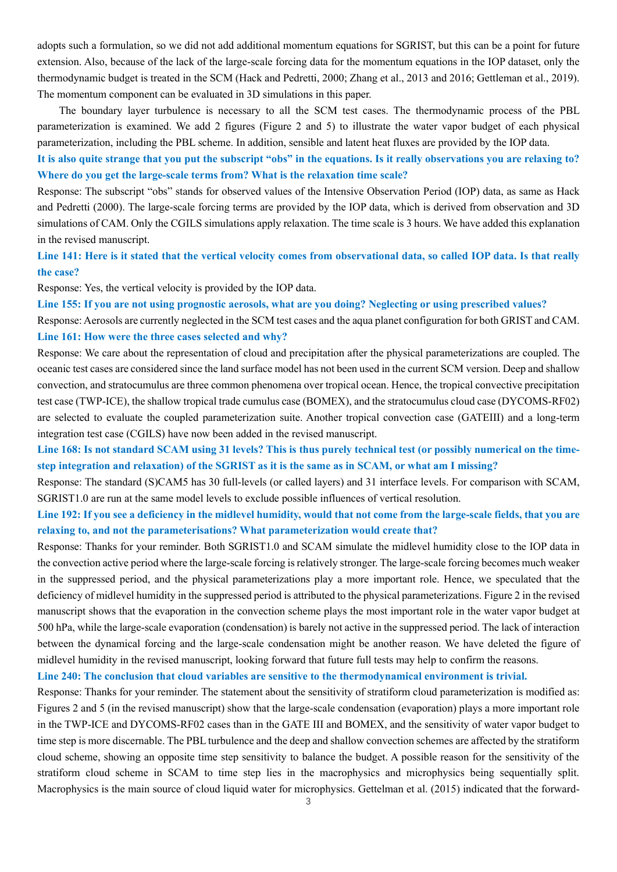adopts such a formulation, so we did not add additional momentum equations for SGRIST, but this can be a point for future extension. Also, because of the lack of the large-scale forcing data for the momentum equations in the IOP dataset, only the thermodynamic budget is treated in the SCM (Hack and Pedretti, 2000; Zhang et al., 2013 and 2016; Gettleman et al., 2019). The momentum component can be evaluated in 3D simulations in this paper.

The boundary layer turbulence is necessary to all the SCM test cases. The thermodynamic process of the PBL parameterization is examined. We add 2 figures (Figure 2 and 5) to illustrate the water vapor budget of each physical parameterization, including the PBL scheme. In addition, sensible and latent heat fluxes are provided by the IOP data.

**It is also quite strange that you put the subscript "obs" in the equations. Is it really observations you are relaxing to? Where do you get the large-scale terms from? What is the relaxation time scale?** 

Response: The subscript "obs" stands for observed values of the Intensive Observation Period (IOP) data, as same as Hack and Pedretti (2000). The large-scale forcing terms are provided by the IOP data, which is derived from observation and 3D simulations of CAM. Only the CGILS simulations apply relaxation. The time scale is 3 hours. We have added this explanation in the revised manuscript.

**Line 141: Here is it stated that the vertical velocity comes from observational data, so called IOP data. Is that really the case?** 

Response: Yes, the vertical velocity is provided by the IOP data.

**Line 155: If you are not using prognostic aerosols, what are you doing? Neglecting or using prescribed values?** 

Response: Aerosols are currently neglected in the SCM test cases and the aqua planet configuration for both GRIST and CAM. **Line 161: How were the three cases selected and why?** 

Response: We care about the representation of cloud and precipitation after the physical parameterizations are coupled. The oceanic test cases are considered since the land surface model has not been used in the current SCM version. Deep and shallow convection, and stratocumulus are three common phenomena over tropical ocean. Hence, the tropical convective precipitation test case (TWP-ICE), the shallow tropical trade cumulus case (BOMEX), and the stratocumulus cloud case (DYCOMS-RF02) are selected to evaluate the coupled parameterization suite. Another tropical convection case (GATEIII) and a long-term integration test case (CGILS) have now been added in the revised manuscript.

**Line 168: Is not standard SCAM using 31 levels? This is thus purely technical test (or possibly numerical on the timestep integration and relaxation) of the SGRIST as it is the same as in SCAM, or what am I missing?**

Response: The standard (S)CAM5 has 30 full-levels (or called layers) and 31 interface levels. For comparison with SCAM, SGRIST1.0 are run at the same model levels to exclude possible influences of vertical resolution.

**Line 192: If you see a deficiency in the midlevel humidity, would that not come from the large-scale fields, that you are relaxing to, and not the parameterisations? What parameterization would create that?**

Response: Thanks for your reminder. Both SGRIST1.0 and SCAM simulate the midlevel humidity close to the IOP data in the convection active period where the large-scale forcing is relatively stronger. The large-scale forcing becomes much weaker in the suppressed period, and the physical parameterizations play a more important role. Hence, we speculated that the deficiency of midlevel humidity in the suppressed period is attributed to the physical parameterizations. Figure 2 in the revised manuscript shows that the evaporation in the convection scheme plays the most important role in the water vapor budget at 500 hPa, while the large-scale evaporation (condensation) is barely not active in the suppressed period. The lack of interaction between the dynamical forcing and the large-scale condensation might be another reason. We have deleted the figure of midlevel humidity in the revised manuscript, looking forward that future full tests may help to confirm the reasons.

**Line 240: The conclusion that cloud variables are sensitive to the thermodynamical environment is trivial.** 

Response: Thanks for your reminder. The statement about the sensitivity of stratiform cloud parameterization is modified as: Figures 2 and 5 (in the revised manuscript) show that the large-scale condensation (evaporation) plays a more important role in the TWP-ICE and DYCOMS-RF02 cases than in the GATE III and BOMEX, and the sensitivity of water vapor budget to time step is more discernable. The PBL turbulence and the deep and shallow convection schemes are affected by the stratiform cloud scheme, showing an opposite time step sensitivity to balance the budget. A possible reason for the sensitivity of the stratiform cloud scheme in SCAM to time step lies in the macrophysics and microphysics being sequentially split. Macrophysics is the main source of cloud liquid water for microphysics. Gettelman et al. (2015) indicated that the forward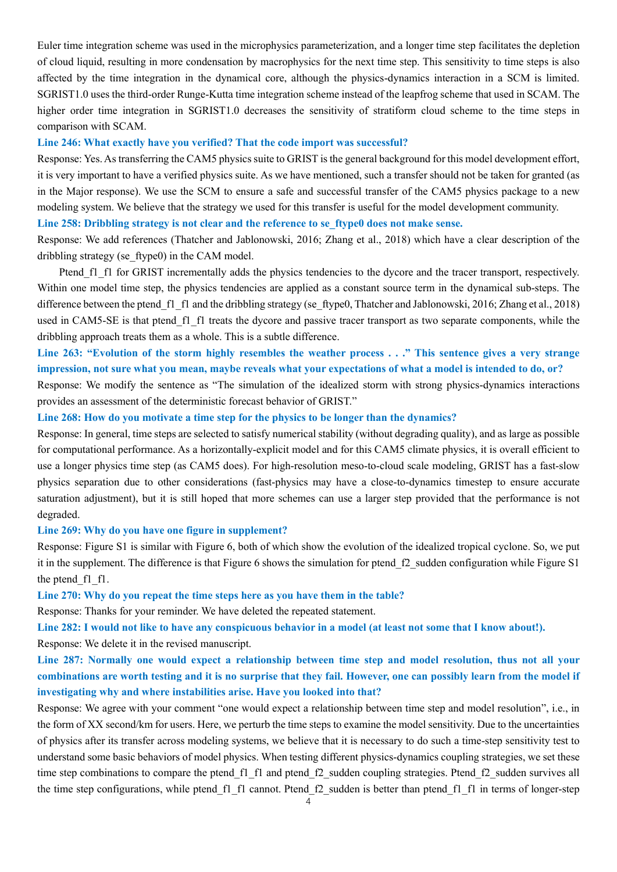Euler time integration scheme was used in the microphysics parameterization, and a longer time step facilitates the depletion of cloud liquid, resulting in more condensation by macrophysics for the next time step. This sensitivity to time steps is also affected by the time integration in the dynamical core, although the physics-dynamics interaction in a SCM is limited. SGRIST1.0 uses the third-order Runge-Kutta time integration scheme instead of the leapfrog scheme that used in SCAM. The higher order time integration in SGRIST1.0 decreases the sensitivity of stratiform cloud scheme to the time steps in comparison with SCAM.

#### **Line 246: What exactly have you verified? That the code import was successful?**

Response: Yes. As transferring the CAM5 physics suite to GRIST is the general background for this model development effort, it is very important to have a verified physics suite. As we have mentioned, such a transfer should not be taken for granted (as in the Major response). We use the SCM to ensure a safe and successful transfer of the CAM5 physics package to a new modeling system. We believe that the strategy we used for this transfer is useful for the model development community.

# Line 258: Dribbling strategy is not clear and the reference to se\_ftype0 does not make sense.

Response: We add references (Thatcher and Jablonowski, 2016; Zhang et al., 2018) which have a clear description of the dribbling strategy (se\_ftype0) in the CAM model.

Ptend f1 f1 for GRIST incrementally adds the physics tendencies to the dycore and the tracer transport, respectively. Within one model time step, the physics tendencies are applied as a constant source term in the dynamical sub-steps. The difference between the ptend f1 f1 and the dribbling strategy (se ftype0, Thatcher and Jablonowski, 2016; Zhang et al., 2018) used in CAM5-SE is that ptend f1 f1 treats the dycore and passive tracer transport as two separate components, while the dribbling approach treats them as a whole. This is a subtle difference.

# **Line 263: "Evolution of the storm highly resembles the weather process . . ." This sentence gives a very strange impression, not sure what you mean, maybe reveals what your expectations of what a model is intended to do, or?**

Response: We modify the sentence as "The simulation of the idealized storm with strong physics-dynamics interactions provides an assessment of the deterministic forecast behavior of GRIST."

#### **Line 268: How do you motivate a time step for the physics to be longer than the dynamics?**

Response: In general, time steps are selected to satisfy numerical stability (without degrading quality), and as large as possible for computational performance. As a horizontally-explicit model and for this CAM5 climate physics, it is overall efficient to use a longer physics time step (as CAM5 does). For high-resolution meso-to-cloud scale modeling, GRIST has a fast-slow physics separation due to other considerations (fast-physics may have a close-to-dynamics timestep to ensure accurate saturation adjustment), but it is still hoped that more schemes can use a larger step provided that the performance is not degraded.

## **Line 269: Why do you have one figure in supplement?**

Response: Figure S1 is similar with Figure 6, both of which show the evolution of the idealized tropical cyclone. So, we put it in the supplement. The difference is that Figure 6 shows the simulation for ptend f2 sudden configuration while Figure S1 the ptend f1 f1.

**Line 270: Why do you repeat the time steps here as you have them in the table?** 

Response: Thanks for your reminder. We have deleted the repeated statement.

**Line 282: I would not like to have any conspicuous behavior in a model (at least not some that I know about!).** 

Response: We delete it in the revised manuscript.

# **Line 287: Normally one would expect a relationship between time step and model resolution, thus not all your combinations are worth testing and it is no surprise that they fail. However, one can possibly learn from the model if investigating why and where instabilities arise. Have you looked into that?**

Response: We agree with your comment "one would expect a relationship between time step and model resolution", i.e., in the form of XX second/km for users. Here, we perturb the time steps to examine the model sensitivity. Due to the uncertainties of physics after its transfer across modeling systems, we believe that it is necessary to do such a time-step sensitivity test to understand some basic behaviors of model physics. When testing different physics-dynamics coupling strategies, we set these time step combinations to compare the ptend f1 f1 and ptend f2 sudden coupling strategies. Ptend f2 sudden survives all the time step configurations, while ptend f1 f1 cannot. Ptend f2 sudden is better than ptend f1 f1 in terms of longer-step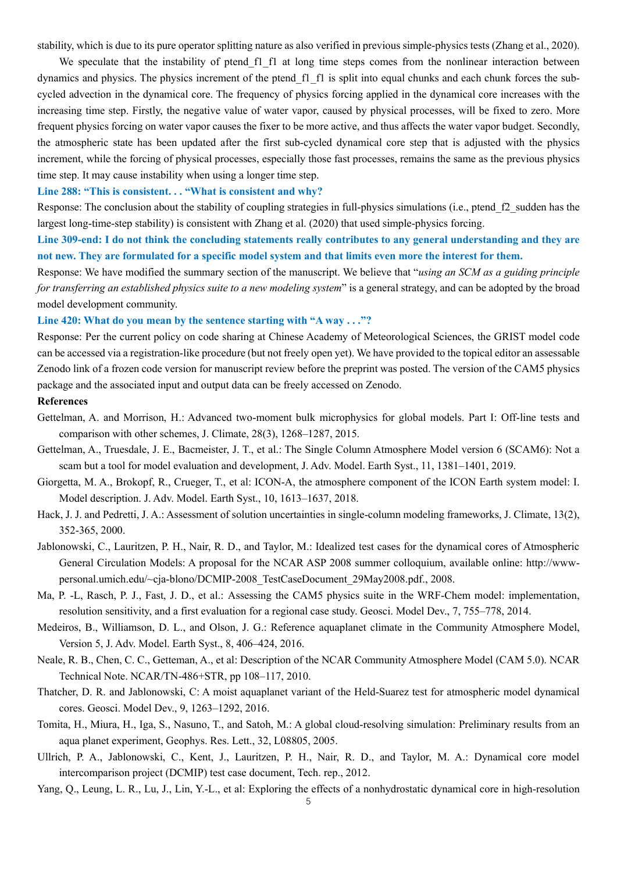stability, which is due to its pure operator splitting nature as also verified in previous simple-physics tests (Zhang et al., 2020).

We speculate that the instability of ptend f1 f1 at long time steps comes from the nonlinear interaction between dynamics and physics. The physics increment of the ptend\_f1\_f1 is split into equal chunks and each chunk forces the subcycled advection in the dynamical core. The frequency of physics forcing applied in the dynamical core increases with the increasing time step. Firstly, the negative value of water vapor, caused by physical processes, will be fixed to zero. More frequent physics forcing on water vapor causes the fixer to be more active, and thus affects the water vapor budget. Secondly, the atmospheric state has been updated after the first sub-cycled dynamical core step that is adjusted with the physics increment, while the forcing of physical processes, especially those fast processes, remains the same as the previous physics time step. It may cause instability when using a longer time step.

## **Line 288: "This is consistent. . . "What is consistent and why?**

Response: The conclusion about the stability of coupling strategies in full-physics simulations (i.e., ptend f2 sudden has the largest long-time-step stability) is consistent with Zhang et al. (2020) that used simple-physics forcing.

**Line 309-end: I do not think the concluding statements really contributes to any general understanding and they are not new. They are formulated for a specific model system and that limits even more the interest for them.**

Response: We have modified the summary section of the manuscript. We believe that "*using an SCM as a guiding principle for transferring an established physics suite to a new modeling system*" is a general strategy, and can be adopted by the broad model development community.

### **Line 420: What do you mean by the sentence starting with "A way . . ."?**

Response: Per the current policy on code sharing at Chinese Academy of Meteorological Sciences, the GRIST model code can be accessed via a registration-like procedure (but not freely open yet). We have provided to the topical editor an assessable Zenodo link of a frozen code version for manuscript review before the preprint was posted. The version of the CAM5 physics package and the associated input and output data can be freely accessed on Zenodo.

# **References**

- Gettelman, A. and Morrison, H.: Advanced two-moment bulk microphysics for global models. Part I: Off-line tests and comparison with other schemes, J. Climate, 28(3), 1268–1287, 2015.
- Gettelman, A., Truesdale, J. E., Bacmeister, J. T., et al.: The Single Column Atmosphere Model version 6 (SCAM6): Not a scam but a tool for model evaluation and development, J. Adv. Model. Earth Syst., 11, 1381–1401, 2019.
- Giorgetta, M. A., Brokopf, R., Crueger, T., et al: ICON-A, the atmosphere component of the ICON Earth system model: I. Model description. J. Adv. Model. Earth Syst., 10, 1613–1637, 2018.
- Hack, J. J. and Pedretti, J. A.: Assessment of solution uncertainties in single-column modeling frameworks, J. Climate, 13(2), 352-365, 2000.
- Jablonowski, C., Lauritzen, P. H., Nair, R. D., and Taylor, M.: Idealized test cases for the dynamical cores of Atmospheric General Circulation Models: A proposal for the NCAR ASP 2008 summer colloquium, available online: http://wwwpersonal.umich.edu/~cja-blono/DCMIP-2008\_TestCaseDocument\_29May2008.pdf., 2008.
- Ma, P. -L, Rasch, P. J., Fast, J. D., et al.: Assessing the CAM5 physics suite in the WRF-Chem model: implementation, resolution sensitivity, and a first evaluation for a regional case study. Geosci. Model Dev., 7, 755–778, 2014.
- Medeiros, B., Williamson, D. L., and Olson, J. G.: Reference aquaplanet climate in the Community Atmosphere Model, Version 5, J. Adv. Model. Earth Syst., 8, 406–424, 2016.
- Neale, R. B., Chen, C. C., Getteman, A., et al: Description of the NCAR Community Atmosphere Model (CAM 5.0). NCAR Technical Note. NCAR/TN-486+STR, pp 108–117, 2010.
- Thatcher, D. R. and Jablonowski, C: A moist aquaplanet variant of the Held-Suarez test for atmospheric model dynamical cores. Geosci. Model Dev., 9, 1263–1292, 2016.
- Tomita, H., Miura, H., Iga, S., Nasuno, T., and Satoh, M.: A global cloud-resolving simulation: Preliminary results from an aqua planet experiment, Geophys. Res. Lett., 32, L08805, 2005.
- Ullrich, P. A., Jablonowski, C., Kent, J., Lauritzen, P. H., Nair, R. D., and Taylor, M. A.: Dynamical core model intercomparison project (DCMIP) test case document, Tech. rep., 2012.
- Yang, Q., Leung, L. R., Lu, J., Lin, Y.-L., et al: Exploring the effects of a nonhydrostatic dynamical core in high-resolution